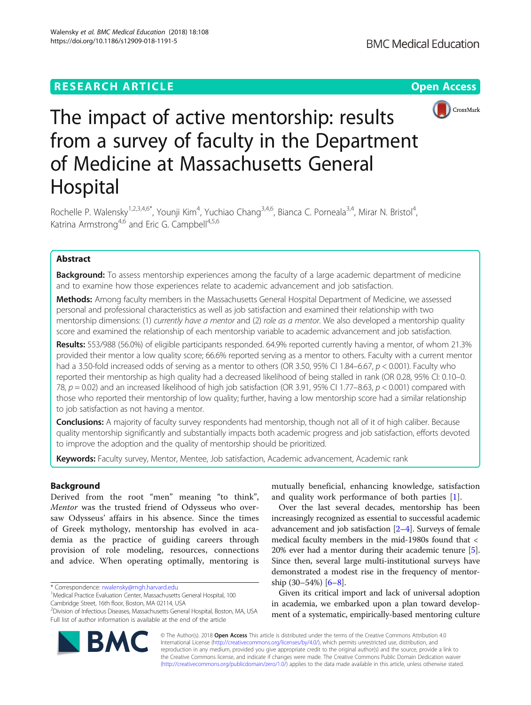**RESEARCH ARTICLE Example 2014 12:30 The Contract of Contract ACCESS** 



# The impact of active mentorship: results from a survey of faculty in the Department of Medicine at Massachusetts General Hospital

Rochelle P. Walensky<sup>1,2,3,4,6\*</sup>, Younji Kim<sup>4</sup>, Yuchiao Chang<sup>3,4,6</sup>, Bianca C. Porneala<sup>3,4</sup>, Mirar N. Bristol<sup>4</sup> , Katrina Armstrong<sup>4,6</sup> and Eric G. Campbell<sup>4,5,6</sup>

# Abstract

**Background:** To assess mentorship experiences among the faculty of a large academic department of medicine and to examine how those experiences relate to academic advancement and job satisfaction.

Methods: Among faculty members in the Massachusetts General Hospital Department of Medicine, we assessed personal and professional characteristics as well as job satisfaction and examined their relationship with two mentorship dimensions: (1) currently have a mentor and (2) role as a mentor. We also developed a mentorship quality score and examined the relationship of each mentorship variable to academic advancement and job satisfaction.

Results: 553/988 (56.0%) of eligible participants responded. 64.9% reported currently having a mentor, of whom 21.3% provided their mentor a low quality score; 66.6% reported serving as a mentor to others. Faculty with a current mentor had a 3.50-fold increased odds of serving as a mentor to others (OR 3.50, 95% CI 1.84–6.67, p < 0.001). Faculty who reported their mentorship as high quality had a decreased likelihood of being stalled in rank (OR 0.28, 95% CI: 0.10–0. 78,  $p = 0.02$ ) and an increased likelihood of high job satisfaction (OR 3.91, 95% CI 1.77–8.63,  $p < 0.001$ ) compared with those who reported their mentorship of low quality; further, having a low mentorship score had a similar relationship to job satisfaction as not having a mentor.

Conclusions: A majority of faculty survey respondents had mentorship, though not all of it of high caliber. Because quality mentorship significantly and substantially impacts both academic progress and job satisfaction, efforts devoted to improve the adoption and the quality of mentorship should be prioritized.

Keywords: Faculty survey, Mentor, Mentee, Job satisfaction, Academic advancement, Academic rank

# Background

Derived from the root "men" meaning "to think", Mentor was the trusted friend of Odysseus who oversaw Odysseus' affairs in his absence. Since the times of Greek mythology, mentorship has evolved in academia as the practice of guiding careers through provision of role modeling, resources, connections and advice. When operating optimally, mentoring is

\* Correspondence: [rwalensky@mgh.harvard.edu](mailto:rwalensky@mgh.harvard.edu) <sup>1</sup>



Over the last several decades, mentorship has been increasingly recognized as essential to successful academic advancement and job satisfaction [\[2](#page-7-0)–[4\]](#page-7-0). Surveys of female medical faculty members in the mid-1980s found that < 20% ever had a mentor during their academic tenure [[5](#page-7-0)]. Since then, several large multi-institutional surveys have demonstrated a modest rise in the frequency of mentorship (30–54%) [[6](#page-7-0)–[8](#page-7-0)].

Given its critical import and lack of universal adoption in academia, we embarked upon a plan toward development of a systematic, empirically-based mentoring culture



<sup>&</sup>lt;sup>1</sup> Medical Practice Evaluation Center, Massachusetts General Hospital, 100 Cambridge Street, 16th floor, Boston, MA 02114, USA

<sup>2</sup> Division of Infectious Diseases, Massachusetts General Hospital, Boston, MA, USA Full list of author information is available at the end of the article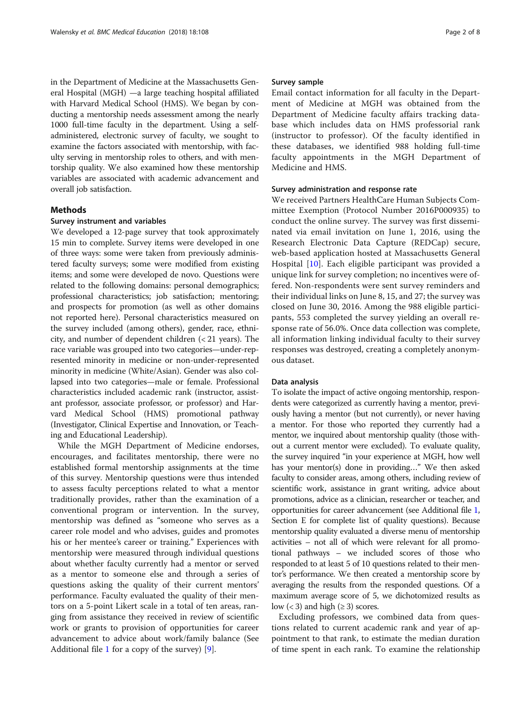in the Department of Medicine at the Massachusetts General Hospital (MGH) —a large teaching hospital affiliated with Harvard Medical School (HMS). We began by conducting a mentorship needs assessment among the nearly 1000 full-time faculty in the department. Using a selfadministered, electronic survey of faculty, we sought to examine the factors associated with mentorship, with faculty serving in mentorship roles to others, and with mentorship quality. We also examined how these mentorship variables are associated with academic advancement and overall job satisfaction.

# Methods

# Survey instrument and variables

We developed a 12-page survey that took approximately 15 min to complete. Survey items were developed in one of three ways: some were taken from previously administered faculty surveys; some were modified from existing items; and some were developed de novo. Questions were related to the following domains: personal demographics; professional characteristics; job satisfaction; mentoring; and prospects for promotion (as well as other domains not reported here). Personal characteristics measured on the survey included (among others), gender, race, ethnicity, and number of dependent children (< 21 years). The race variable was grouped into two categories—under-represented minority in medicine or non-under-represented minority in medicine (White/Asian). Gender was also collapsed into two categories—male or female. Professional characteristics included academic rank (instructor, assistant professor, associate professor, or professor) and Harvard Medical School (HMS) promotional pathway (Investigator, Clinical Expertise and Innovation, or Teaching and Educational Leadership).

While the MGH Department of Medicine endorses, encourages, and facilitates mentorship, there were no established formal mentorship assignments at the time of this survey. Mentorship questions were thus intended to assess faculty perceptions related to what a mentor traditionally provides, rather than the examination of a conventional program or intervention. In the survey, mentorship was defined as "someone who serves as a career role model and who advises, guides and promotes his or her mentee's career or training." Experiences with mentorship were measured through individual questions about whether faculty currently had a mentor or served as a mentor to someone else and through a series of questions asking the quality of their current mentors' performance. Faculty evaluated the quality of their mentors on a 5-point Likert scale in a total of ten areas, ranging from assistance they received in review of scientific work or grants to provision of opportunities for career advancement to advice about work/family balance (See Additional file [1](#page-6-0) for a copy of the survey) [\[9](#page-7-0)].

## Survey sample

Email contact information for all faculty in the Department of Medicine at MGH was obtained from the Department of Medicine faculty affairs tracking database which includes data on HMS professorial rank (instructor to professor). Of the faculty identified in these databases, we identified 988 holding full-time faculty appointments in the MGH Department of Medicine and HMS.

# Survey administration and response rate

We received Partners HealthCare Human Subjects Committee Exemption (Protocol Number 2016P000935) to conduct the online survey. The survey was first disseminated via email invitation on June 1, 2016, using the Research Electronic Data Capture (REDCap) secure, web-based application hosted at Massachusetts General Hospital [\[10](#page-7-0)]. Each eligible participant was provided a unique link for survey completion; no incentives were offered. Non-respondents were sent survey reminders and their individual links on June 8, 15, and 27; the survey was closed on June 30, 2016. Among the 988 eligible participants, 553 completed the survey yielding an overall response rate of 56.0%. Once data collection was complete, all information linking individual faculty to their survey responses was destroyed, creating a completely anonymous dataset.

# Data analysis

To isolate the impact of active ongoing mentorship, respondents were categorized as currently having a mentor, previously having a mentor (but not currently), or never having a mentor. For those who reported they currently had a mentor, we inquired about mentorship quality (those without a current mentor were excluded). To evaluate quality, the survey inquired "in your experience at MGH, how well has your mentor(s) done in providing…" We then asked faculty to consider areas, among others, including review of scientific work, assistance in grant writing, advice about promotions, advice as a clinician, researcher or teacher, and opportunities for career advancement (see Additional file [1](#page-6-0), Section E for complete list of quality questions). Because mentorship quality evaluated a diverse menu of mentorship activities – not all of which were relevant for all promotional pathways – we included scores of those who responded to at least 5 of 10 questions related to their mentor's performance. We then created a mentorship score by averaging the results from the responded questions. Of a maximum average score of 5, we dichotomized results as low  $(< 3)$  and high  $(\geq 3)$  scores.

Excluding professors, we combined data from questions related to current academic rank and year of appointment to that rank, to estimate the median duration of time spent in each rank. To examine the relationship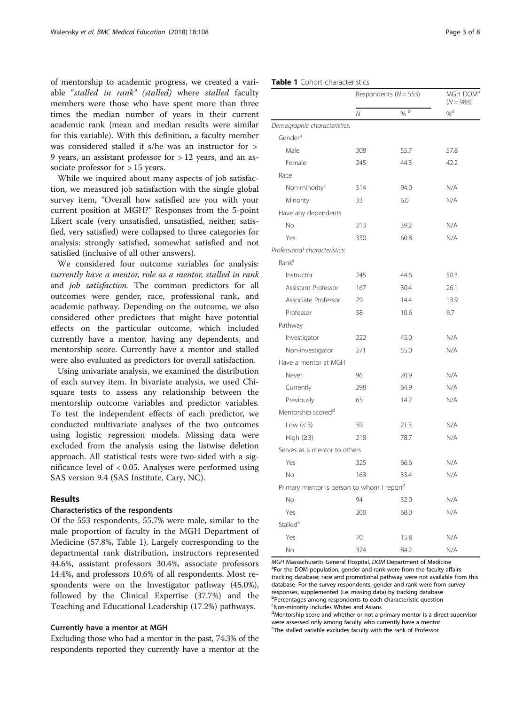<span id="page-2-0"></span>of mentorship to academic progress, we created a variable "stalled in rank" (stalled) where stalled faculty members were those who have spent more than three times the median number of years in their current academic rank (mean and median results were similar for this variable). With this definition, a faculty member was considered stalled if s/he was an instructor for > 9 years, an assistant professor for > 12 years, and an associate professor for  $> 15$  years.

While we inquired about many aspects of job satisfaction, we measured job satisfaction with the single global survey item, "Overall how satisfied are you with your current position at MGH?" Responses from the 5-point Likert scale (very unsatisfied, unsatisfied, neither, satisfied, very satisfied) were collapsed to three categories for analysis: strongly satisfied, somewhat satisfied and not satisfied (inclusive of all other answers).

We considered four outcome variables for analysis: currently have a mentor, role as a mentor, stalled in rank and job satisfaction. The common predictors for all outcomes were gender, race, professional rank, and academic pathway. Depending on the outcome, we also considered other predictors that might have potential effects on the particular outcome, which included currently have a mentor, having any dependents, and mentorship score. Currently have a mentor and stalled were also evaluated as predictors for overall satisfaction.

Using univariate analysis, we examined the distribution of each survey item. In bivariate analysis, we used Chisquare tests to assess any relationship between the mentorship outcome variables and predictor variables. To test the independent effects of each predictor, we conducted multivariate analyses of the two outcomes using logistic regression models. Missing data were excluded from the analysis using the listwise deletion approach. All statistical tests were two-sided with a significance level of < 0.05. Analyses were performed using SAS version 9.4 (SAS Institute, Cary, NC).

# Results

# Characteristics of the respondents

Of the 553 respondents, 55.7% were male, similar to the male proportion of faculty in the MGH Department of Medicine (57.8%, Table 1). Largely corresponding to the departmental rank distribution, instructors represented 44.6%, assistant professors 30.4%, associate professors 14.4%, and professors 10.6% of all respondents. Most respondents were on the Investigator pathway (45.0%), followed by the Clinical Expertise (37.7%) and the Teaching and Educational Leadership (17.2%) pathways.

# Currently have a mentor at MGH

Excluding those who had a mentor in the past, 74.3% of the respondents reported they currently have a mentor at the

|                                            | $\mathcal N$ | $%$ b | $%$ <sup>a</sup> |
|--------------------------------------------|--------------|-------|------------------|
| Demographic characteristics:               |              |       |                  |
| Gender <sup>a</sup>                        |              |       |                  |
| Male                                       | 308          | 55.7  | 57.8             |
| Female                                     | 245          | 44.3  | 42.2             |
| Race                                       |              |       |                  |
| Non-minority <sup>c</sup>                  | 514          | 94.0  | N/A              |
| Minority                                   | 33           | 6.0   | N/A              |
| Have any dependents                        |              |       |                  |
| No                                         | 213          | 39.2  | N/A              |
| Yes                                        | 330          | 60.8  | N/A              |
| Professional characteristics:              |              |       |                  |
| Rank <sup>a</sup>                          |              |       |                  |
| Instructor                                 | 245          | 44.6  | 50.3             |
| Assistant Professor                        | 167          | 30.4  | 26.1             |
| Associate Professor                        | 79           | 14.4  | 13.9             |
| Professor                                  | 58           | 10.6  | 9.7              |
| Pathway                                    |              |       |                  |
| Investigator                               | 222          | 45.0  | N/A              |
| Non-investigator                           | 271          | 55.0  | N/A              |
| Have a mentor at MGH                       |              |       |                  |
| Never                                      | 96           | 20.9  | N/A              |
| Currently                                  | 298          | 64.9  | N/A              |
| Previously                                 | 65           | 14.2  | N/A              |
| Mentorship scored <sup>d</sup>             |              |       |                  |
| Low $(< 3)$                                | 59           | 21.3  | N/A              |
| High $(23)$                                | 218          | 78.7  | N/A              |
| Serves as a mentor to others               |              |       |                  |
| Yes                                        | 325          | 66.6  | N/A              |
| No                                         | 163          | 33.4  | N/A              |
| Primary mentor is person to whom I reportd |              |       |                  |
| No                                         | 94           | 32.0  | N/A              |
| Yes                                        | 200          | 68.0  | N/A              |
| Stalled <sup>e</sup>                       |              |       |                  |
| Yes                                        | 70           | 15.8  | N/A              |
| No                                         | 374          | 84.2  | N/A              |

MGH Massachusetts General Hospital, DOM Department of Medicine <sup>a</sup>For the DOM population, gender and rank were from the faculty affairs tracking database; race and promotional pathway were not available from this database. For the survey respondents, gender and rank were from survey responses, supplemented (i.e. missing data) by tracking database bPercentages among respondents to each characteristic question c Non-minority includes Whites and Asians

<sup>d</sup>Mentorship score and whether or not a primary mentor is a direct supervisor were assessed only among faculty who currently have a mentor eThe stalled variable excludes faculty with the rank of Professor

 $(N - 988)$ 

Respondents ( $N = 553$ ) MGH DOM<sup>a</sup>

## Table 1 Cohort characteristics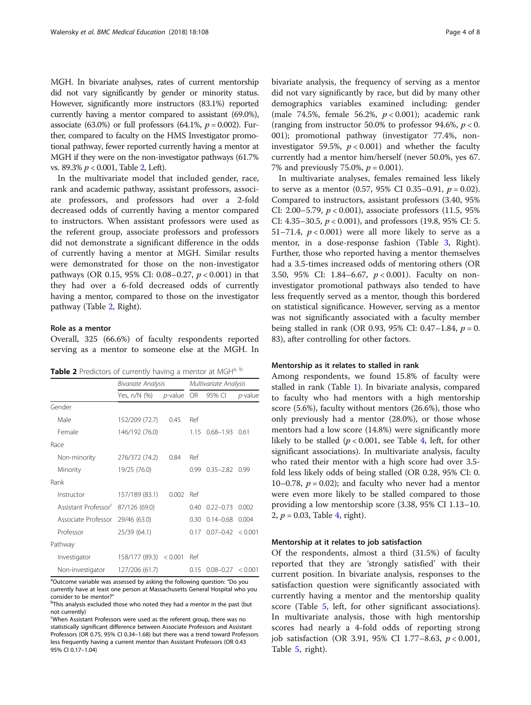MGH. In bivariate analyses, rates of current mentorship did not vary significantly by gender or minority status. However, significantly more instructors (83.1%) reported currently having a mentor compared to assistant (69.0%), associate (63.0%) or full professors (64.1%,  $p = 0.002$ ). Further, compared to faculty on the HMS Investigator promotional pathway, fewer reported currently having a mentor at MGH if they were on the non-investigator pathways (61.7% vs. 89.3% p < 0.001, Table 2, Left).

In the multivariate model that included gender, race, rank and academic pathway, assistant professors, associate professors, and professors had over a 2-fold decreased odds of currently having a mentor compared to instructors. When assistant professors were used as the referent group, associate professors and professors did not demonstrate a significant difference in the odds of currently having a mentor at MGH. Similar results were demonstrated for those on the non-investigator pathways (OR 0.15, 95% CI: 0.08–0.27, p < 0.001) in that they had over a 6-fold decreased odds of currently having a mentor, compared to those on the investigator pathway (Table 2, Right).

## Role as a mentor

Overall, 325 (66.6%) of faculty respondents reported serving as a mentor to someone else at the MGH. In

| Table 2 Predictors of currently having a mentor at MGHa, b |  |  |
|------------------------------------------------------------|--|--|
|------------------------------------------------------------|--|--|

|                                  | <b>Bivariate Analysis</b> |            | Multivariate Analysis |                       |                 |  |
|----------------------------------|---------------------------|------------|-----------------------|-----------------------|-----------------|--|
|                                  | Yes, n/N (%)              | p-value OR |                       | 95% CI                | <i>p</i> -value |  |
| Gender                           |                           |            |                       |                       |                 |  |
| Male                             | 152/209 (72.7)            | 0.45       | Ref                   |                       |                 |  |
| Female                           | 146/192 (76.0)            |            | 1.15                  | $0.68 - 1.93$         | - 0.61          |  |
| Race                             |                           |            |                       |                       |                 |  |
| Non-minority                     | 276/372 (74.2)            | 0.84       | Ref                   |                       |                 |  |
| Minority                         | 19/25 (76.0)              |            | 0.99                  | $0.35 - 2.82$         | O 99            |  |
| Rank                             |                           |            |                       |                       |                 |  |
| Instructor                       | 157/189 (83.1)            | 0.002      | Ref                   |                       |                 |  |
| Assistant Professor <sup>c</sup> | 87/126 (69.0)             |            | 0.40                  | $0.22 - 0.73$         | 0.002           |  |
| Associate Professor              | 29/46 (63.0)              |            | 0.30                  | $0.14 - 0.68$         | 0.004           |  |
| Professor                        | 25/39 (64.1)              |            | 0.17                  | $0.07 - 0.42 < 0.001$ |                 |  |
| Pathway                          |                           |            |                       |                       |                 |  |
| Investigator                     | 158/177(89.3) < 0.001     |            | Ref                   |                       |                 |  |
| Non-investigator                 | 127/206 (61.7)            |            | 0.15                  | $0.08 - 0.27 < 0.001$ |                 |  |

<sup>a</sup>Outcome variable was assessed by asking the following question: "Do you currently have at least one person at Massachusetts General Hospital who you consider to be mentor?'

bivariate analysis, the frequency of serving as a mentor did not vary significantly by race, but did by many other demographics variables examined including: gender (male 74.5%, female 56.2%,  $p < 0.001$ ); academic rank (ranging from instructor 50.0% to professor 94.6%,  $p < 0$ . 001); promotional pathway (investigator 77.4%, noninvestigator 59.5%,  $p < 0.001$ ) and whether the faculty currently had a mentor him/herself (never 50.0%, yes 67. 7% and previously 75.0%,  $p = 0.001$ ).

In multivariate analyses, females remained less likely to serve as a mentor  $(0.57, 95\% \text{ CI } 0.35-0.91, p = 0.02)$ . Compared to instructors, assistant professors (3.40, 95% CI: 2.00–5.79,  $p < 0.001$ ), associate professors (11.5, 95%) CI: 4.35–30.5,  $p < 0.001$ ), and professors (19.8, 95% CI: 5. 51–71.4,  $p < 0.001$ ) were all more likely to serve as a mentor, in a dose-response fashion (Table [3](#page-4-0), Right). Further, those who reported having a mentor themselves had a 3.5-times increased odds of mentoring others (OR 3.50, 95% CI: 1.84–6.67, p < 0.001). Faculty on noninvestigator promotional pathways also tended to have less frequently served as a mentor, though this bordered on statistical significance. However, serving as a mentor was not significantly associated with a faculty member being stalled in rank (OR 0.93, 95% CI: 0.47–1.84,  $p = 0$ . 83), after controlling for other factors.

# Mentorship as it relates to stalled in rank

Among respondents, we found 15.8% of faculty were stalled in rank (Table [1](#page-2-0)). In bivariate analysis, compared to faculty who had mentors with a high mentorship score (5.6%), faculty without mentors (26.6%), those who only previously had a mentor (28.0%), or those whose mentors had a low score (14.8%) were significantly more likely to be stalled ( $p < 0.001$ , see Table [4,](#page-5-0) left, for other significant associations). In multivariate analysis, faculty who rated their mentor with a high score had over 3.5 fold less likely odds of being stalled (OR 0.28, 95% CI: 0. 10–0.78,  $p = 0.02$ ); and faculty who never had a mentor were even more likely to be stalled compared to those providing a low mentorship score (3.38, 95% CI 1.13–10. 2,  $p = 0.03$ , Table [4,](#page-5-0) right).

## Mentorship at it relates to job satisfaction

Of the respondents, almost a third (31.5%) of faculty reported that they are 'strongly satisfied' with their current position. In bivariate analysis, responses to the satisfaction question were significantly associated with currently having a mentor and the mentorship quality score (Table [5](#page-6-0), left, for other significant associations). In multivariate analysis, those with high mentorship scores had nearly a 4-fold odds of reporting strong job satisfaction (OR 3.91, 95% CI 1.77–8.63,  $p < 0.001$ , Table [5,](#page-6-0) right).

<sup>&</sup>lt;sup>b</sup>This analysis excluded those who noted they had a mentor in the past (but not currently)

<sup>&</sup>lt;sup>c</sup>When Assistant Professors were used as the referent group, there was no statistically significant difference between Associate Professors and Assistant Professors (OR 0.75, 95% CI 0.34–1.68) but there was a trend toward Professors less frequently having a current mentor than Assistant Professors (OR 0.43 95% CI 0.17–1.04)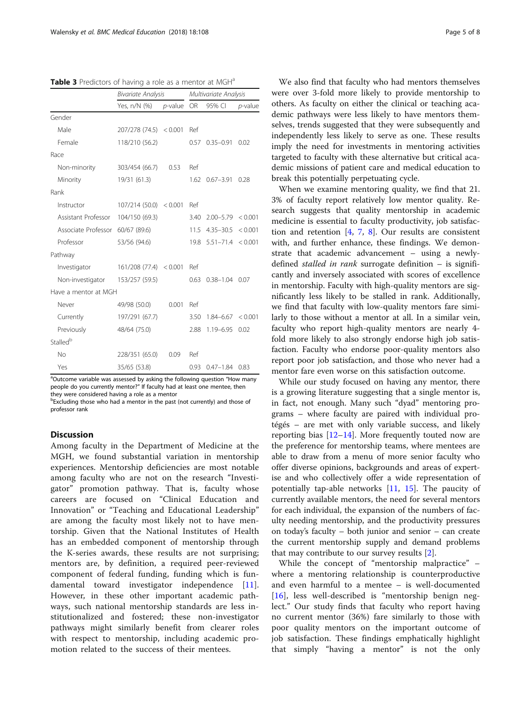<span id="page-4-0"></span>Table 3 Predictors of having a role as a mentor at MGH<sup>a</sup>

|                                    | Bivariate Analysis                                         |       | Multivariate Analysis |                          |            |
|------------------------------------|------------------------------------------------------------|-------|-----------------------|--------------------------|------------|
|                                    | Yes, n/N (%) p-value                                       |       | OR                    | 95% CI                   | $p$ -value |
| Gender                             |                                                            |       |                       |                          |            |
| Male                               | 207/278(74.5) < 0.001                                      |       | Ref                   |                          |            |
| Female                             | 118/210 (56.2)                                             |       | 0.57                  | $0.35 - 0.91$ 0.02       |            |
| Race                               |                                                            |       |                       |                          |            |
| Non-minority                       | 303/454 (66.7) 0.53                                        |       | Ref                   |                          |            |
| Minority                           | 19/31 (61.3)                                               |       | 1.62                  | $0.67 - 3.91$ 0.28       |            |
| Rank                               |                                                            |       |                       |                          |            |
| Instructor                         | 107/214(50.0) < 0.001                                      |       | Ref                   |                          |            |
| Assistant Professor                | 104/150 (69.3)                                             |       | 3.40                  | $2.00 - 5.79 < 0.001$    |            |
| Associate Professor 60/67 (89.6)   |                                                            |       | 11.5                  | $4.35 - 30.5 < 0.001$    |            |
| Professor                          | 53/56 (94.6)                                               |       |                       | $19.8$ 5.51-71.4 < 0.001 |            |
| Pathway                            |                                                            |       |                       |                          |            |
| Investigator                       | $161/208$ (77.4) < 0.001                                   |       | Ref                   |                          |            |
| Non-investigator 153/257 (59.5)    |                                                            |       | 0.63                  | $0.38 - 1.04$ 0.07       |            |
| Have a mentor at MGH               |                                                            |       |                       |                          |            |
| Never                              | 49/98 (50.0)                                               | 0.001 | Ref                   |                          |            |
| Currently                          | 197/291 (67.7)                                             |       | 3.50                  | $1.84 - 6.67 < 0.001$    |            |
| Previously                         | 48/64 (75.0)                                               |       | 2.88                  | $1.19 - 6.95$            | 0.02       |
| Stalled <sup>b</sup>               |                                                            |       |                       |                          |            |
| <b>No</b>                          | 228/351 (65.0)                                             | 0.09  | Ref                   |                          |            |
| Yes<br>$a \sim$<br>and the Library | 35/65 (53.8)<br>and of the countries of the Contractors of |       | 0.93                  | $0.47 - 1.84$ 0.83       |            |

<sup>a</sup>Outcome variable was assessed by asking the following question "How many people do you currently mentor?" If faculty had at least one mentee, then they were considered having a role as a mentor

<sup>b</sup>Excluding those who had a mentor in the past (not currently) and those of professor rank

# **Discussion**

Among faculty in the Department of Medicine at the MGH, we found substantial variation in mentorship experiences. Mentorship deficiencies are most notable among faculty who are not on the research "Investigator" promotion pathway. That is, faculty whose careers are focused on "Clinical Education and Innovation" or "Teaching and Educational Leadership" are among the faculty most likely not to have mentorship. Given that the National Institutes of Health has an embedded component of mentorship through the K-series awards, these results are not surprising; mentors are, by definition, a required peer-reviewed component of federal funding, funding which is fundamental toward investigator independence [\[11](#page-7-0)]. However, in these other important academic pathways, such national mentorship standards are less institutionalized and fostered; these non-investigator pathways might similarly benefit from clearer roles with respect to mentorship, including academic promotion related to the success of their mentees.

We also find that faculty who had mentors themselves were over 3-fold more likely to provide mentorship to others. As faculty on either the clinical or teaching academic pathways were less likely to have mentors themselves, trends suggested that they were subsequently and independently less likely to serve as one. These results imply the need for investments in mentoring activities targeted to faculty with these alternative but critical academic missions of patient care and medical education to break this potentially perpetuating cycle.

When we examine mentoring quality, we find that 21. 3% of faculty report relatively low mentor quality. Research suggests that quality mentorship in academic medicine is essential to faculty productivity, job satisfaction and retention  $[4, 7, 8]$  $[4, 7, 8]$  $[4, 7, 8]$  $[4, 7, 8]$  $[4, 7, 8]$  $[4, 7, 8]$ . Our results are consistent with, and further enhance, these findings. We demonstrate that academic advancement – using a newlydefined stalled in rank surrogate definition – is significantly and inversely associated with scores of excellence in mentorship. Faculty with high-quality mentors are significantly less likely to be stalled in rank. Additionally, we find that faculty with low-quality mentors fare similarly to those without a mentor at all. In a similar vein, faculty who report high-quality mentors are nearly 4 fold more likely to also strongly endorse high job satisfaction. Faculty who endorse poor-quality mentors also report poor job satisfaction, and those who never had a mentor fare even worse on this satisfaction outcome.

While our study focused on having any mentor, there is a growing literature suggesting that a single mentor is, in fact, not enough. Many such "dyad" mentoring programs – where faculty are paired with individual protégés – are met with only variable success, and likely reporting bias [\[12](#page-7-0)–[14\]](#page-7-0). More frequently touted now are the preference for mentorship teams, where mentees are able to draw from a menu of more senior faculty who offer diverse opinions, backgrounds and areas of expertise and who collectively offer a wide representation of potentially tap-able networks [[11,](#page-7-0) [15\]](#page-7-0). The paucity of currently available mentors, the need for several mentors for each individual, the expansion of the numbers of faculty needing mentorship, and the productivity pressures on today's faculty – both junior and senior – can create the current mentorship supply and demand problems that may contribute to our survey results [\[2](#page-7-0)].

While the concept of "mentorship malpractice" – where a mentoring relationship is counterproductive and even harmful to a mentee – is well-documented [[16\]](#page-7-0), less well-described is "mentorship benign neglect." Our study finds that faculty who report having no current mentor (36%) fare similarly to those with poor quality mentors on the important outcome of job satisfaction. These findings emphatically highlight that simply "having a mentor" is not the only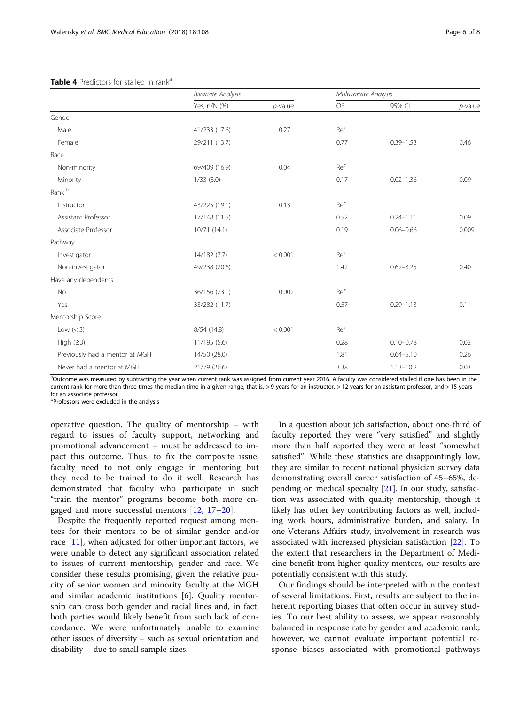| Page 6 o |  |
|----------|--|
|          |  |

<span id="page-5-0"></span>

|                                | <b>Bivariate Analysis</b> |            |           | Multivariate Analysis |            |  |
|--------------------------------|---------------------------|------------|-----------|-----------------------|------------|--|
|                                | Yes, n/N (%)              | $p$ -value | <b>OR</b> | 95% CI                | $p$ -value |  |
| Gender                         |                           |            |           |                       |            |  |
| Male                           | 41/233 (17.6)             | 0.27       | Ref       |                       |            |  |
| Female                         | 29/211 (13.7)             |            | 0.77      | $0.39 - 1.53$         | 0.46       |  |
| Race                           |                           |            |           |                       |            |  |
| Non-minority                   | 69/409 (16.9)             | 0.04       | Ref       |                       |            |  |
| Minority                       | 1/33(3.0)                 |            | 0.17      | $0.02 - 1.36$         | 0.09       |  |
| Rank <sup>b</sup>              |                           |            |           |                       |            |  |
| Instructor                     | 43/225 (19.1)             | 0.13       | Ref       |                       |            |  |
| Assistant Professor            | 17/148 (11.5)             |            | 0.52      | $0.24 - 1.11$         | 0.09       |  |
| Associate Professor            | 10/71 (14.1)              |            | 0.19      | $0.06 - 0.66$         | 0.009      |  |
| Pathway                        |                           |            |           |                       |            |  |
| Investigator                   | 14/182 (7.7)              | < 0.001    | Ref       |                       |            |  |
| Non-investigator               | 49/238 (20.6)             |            | 1.42      | $0.62 - 3.25$         | 0.40       |  |
| Have any dependents            |                           |            |           |                       |            |  |
| No                             | 36/156 (23.1)             | 0.002      | Ref       |                       |            |  |
| Yes                            | 33/282 (11.7)             |            | 0.57      | $0.29 - 1.13$         | 0.11       |  |
| Mentorship Score               |                           |            |           |                       |            |  |
| Low $(< 3)$                    | 8/54 (14.8)               | < 0.001    | Ref       |                       |            |  |
| High $(23)$                    | 11/195 (5.6)              |            | 0.28      | $0.10 - 0.78$         | 0.02       |  |
| Previously had a mentor at MGH | 14/50 (28.0)              |            | 1.81      | $0.64 - 5.10$         | 0.26       |  |
| Never had a mentor at MGH      | 21/79 (26.6)              |            | 3.38      | $1.13 - 10.2$         | 0.03       |  |

<sup>a</sup>Outcome was measured by subtracting the year when current rank was assigned from current year 2016. A faculty was considered stalled if one has been in the current rank for more than three times the median time in a given range; that is, > 9 years for an instructor, > 12 years for an assistant professor, and > 15 years for an associate professor

<sup>b</sup>Professors were excluded in the analysis

operative question. The quality of mentorship – with regard to issues of faculty support, networking and promotional advancement – must be addressed to impact this outcome. Thus, to fix the composite issue, faculty need to not only engage in mentoring but they need to be trained to do it well. Research has demonstrated that faculty who participate in such "train the mentor" programs become both more engaged and more successful mentors [\[12](#page-7-0), [17](#page-7-0)–[20\]](#page-7-0).

Despite the frequently reported request among mentees for their mentors to be of similar gender and/or race  $[11]$ , when adjusted for other important factors, we were unable to detect any significant association related to issues of current mentorship, gender and race. We consider these results promising, given the relative paucity of senior women and minority faculty at the MGH and similar academic institutions [[6\]](#page-7-0). Quality mentorship can cross both gender and racial lines and, in fact, both parties would likely benefit from such lack of concordance. We were unfortunately unable to examine other issues of diversity – such as sexual orientation and disability – due to small sample sizes.

In a question about job satisfaction, about one-third of faculty reported they were "very satisfied" and slightly more than half reported they were at least "somewhat satisfied". While these statistics are disappointingly low, they are similar to recent national physician survey data demonstrating overall career satisfaction of 45–65%, depending on medical specialty [[21\]](#page-7-0). In our study, satisfaction was associated with quality mentorship, though it likely has other key contributing factors as well, including work hours, administrative burden, and salary. In one Veterans Affairs study, involvement in research was associated with increased physician satisfaction [\[22\]](#page-7-0). To the extent that researchers in the Department of Medicine benefit from higher quality mentors, our results are potentially consistent with this study.

Our findings should be interpreted within the context of several limitations. First, results are subject to the inherent reporting biases that often occur in survey studies. To our best ability to assess, we appear reasonably balanced in response rate by gender and academic rank; however, we cannot evaluate important potential response biases associated with promotional pathways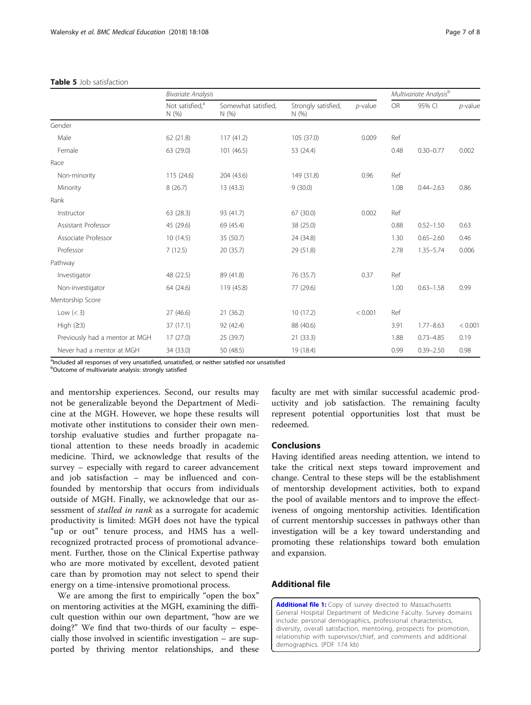<span id="page-6-0"></span>

|                                | <b>Bivariate Analysis</b>           |                              |                             | Multivariate Analysis <sup>b</sup> |           |               |            |
|--------------------------------|-------------------------------------|------------------------------|-----------------------------|------------------------------------|-----------|---------------|------------|
|                                | Not satisfied, <sup>a</sup><br>N(%) | Somewhat satisfied,<br>N(% ) | Strongly satisfied,<br>N(%) | $p$ -value                         | <b>OR</b> | 95% CI        | $p$ -value |
| Gender                         |                                     |                              |                             |                                    |           |               |            |
| Male                           | 62 (21.8)                           | 117(41.2)                    | 105 (37.0)                  | 0.009                              | Ref       |               |            |
| Female                         | 63 (29.0)                           | 101 (46.5)                   | 53 (24.4)                   |                                    | 0.48      | $0.30 - 0.77$ | 0.002      |
| Race                           |                                     |                              |                             |                                    |           |               |            |
| Non-minority                   | 115 (24.6)                          | 204 (43.6)                   | 149 (31.8)                  | 0.96                               | Ref       |               |            |
| Minority                       | 8(26.7)                             | 13(43.3)                     | 9(30.0)                     |                                    | 1.08      | $0.44 - 2.63$ | 0.86       |
| Rank                           |                                     |                              |                             |                                    |           |               |            |
| Instructor                     | 63 (28.3)                           | 93 (41.7)                    | 67 (30.0)                   | 0.002                              | Ref       |               |            |
| Assistant Professor            | 45 (29.6)                           | 69 (45.4)                    | 38 (25.0)                   |                                    | 0.88      | $0.52 - 1.50$ | 0.63       |
| Associate Professor            | 10(14.5)                            | 35 (50.7)                    | 24 (34.8)                   |                                    | 1.30      | $0.65 - 2.60$ | 0.46       |
| Professor                      | 7(12.5)                             | 20 (35.7)                    | 29 (51.8)                   |                                    | 2.78      | $1.35 - 5.74$ | 0.006      |
| Pathway                        |                                     |                              |                             |                                    |           |               |            |
| Investigator                   | 48 (22.5)                           | 89 (41.8)                    | 76 (35.7)                   | 0.37                               | Ref       |               |            |
| Non-investigator               | 64 (24.6)                           | 119 (45.8)                   | 77 (29.6)                   |                                    | 1.00      | $0.63 - 1.58$ | 0.99       |
| Mentorship Score               |                                     |                              |                             |                                    |           |               |            |
| Low $(< 3)$                    | 27(46.6)                            | 21(36.2)                     | 10(17.2)                    | < 0.001                            | Ref       |               |            |
| High $(≥3)$                    | 37 (17.1)                           | 92 (42.4)                    | 88 (40.6)                   |                                    | 3.91      | $1.77 - 8.63$ | < 0.001    |
| Previously had a mentor at MGH | 17(27.0)                            | 25 (39.7)                    | 21(33.3)                    |                                    | 1.88      | $0.73 - 4.85$ | 0.19       |
| Never had a mentor at MGH      | 34 (33.0)                           | 50 (48.5)                    | 19 (18.4)                   |                                    | 0.99      | $0.39 - 2.50$ | 0.98       |

<sup>a</sup>Included all responses of very unsatisfied, unsatisfied, or neither satisfied nor unsatisfied

**b**Outcome of multivariate analysis: strongly satisfied

and mentorship experiences. Second, our results may not be generalizable beyond the Department of Medicine at the MGH. However, we hope these results will motivate other institutions to consider their own mentorship evaluative studies and further propagate national attention to these needs broadly in academic medicine. Third, we acknowledge that results of the survey – especially with regard to career advancement and job satisfaction – may be influenced and confounded by mentorship that occurs from individuals outside of MGH. Finally, we acknowledge that our assessment of *stalled in rank* as a surrogate for academic productivity is limited: MGH does not have the typical "up or out" tenure process, and HMS has a wellrecognized protracted process of promotional advancement. Further, those on the Clinical Expertise pathway who are more motivated by excellent, devoted patient care than by promotion may not select to spend their energy on a time-intensive promotional process.

We are among the first to empirically "open the box" on mentoring activities at the MGH, examining the difficult question within our own department, "how are we doing?" We find that two-thirds of our faculty – especially those involved in scientific investigation – are supported by thriving mentor relationships, and these faculty are met with similar successful academic productivity and job satisfaction. The remaining faculty represent potential opportunities lost that must be redeemed.

# Conclusions

Having identified areas needing attention, we intend to take the critical next steps toward improvement and change. Central to these steps will be the establishment of mentorship development activities, both to expand the pool of available mentors and to improve the effectiveness of ongoing mentorship activities. Identification of current mentorship successes in pathways other than investigation will be a key toward understanding and promoting these relationships toward both emulation and expansion.

# Additional file

[Additional file 1:](https://doi.org/10.1186/s12909-018-1191-5) Copy of survey directed to Massachusetts General Hospital Department of Medicine Faculty. Survey domains include: personal demographics, professional characteristics, diversity, overall satisfaction, mentoring, prospects for promotion, relationship with supervisor/chief, and comments and additional demographics. (PDF 174 kb)